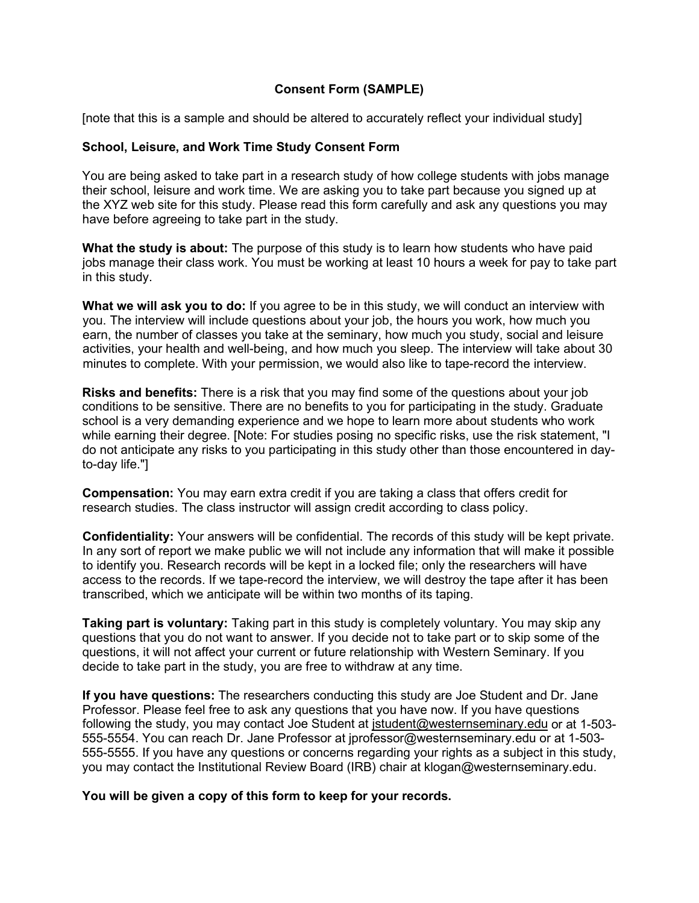## **Consent Form (SAMPLE)**

[note that this is a sample and should be altered to accurately reflect your individual study]

## **School, Leisure, and Work Time Study Consent Form**

You are being asked to take part in a research study of how college students with jobs manage their school, leisure and work time. We are asking you to take part because you signed up at the XYZ web site for this study. Please read this form carefully and ask any questions you may have before agreeing to take part in the study.

**What the study is about:** The purpose of this study is to learn how students who have paid jobs manage their class work. You must be working at least 10 hours a week for pay to take part in this study.

**What we will ask you to do:** If you agree to be in this study, we will conduct an interview with you. The interview will include questions about your job, the hours you work, how much you earn, the number of classes you take at the seminary, how much you study, social and leisure activities, your health and well-being, and how much you sleep. The interview will take about 30 minutes to complete. With your permission, we would also like to tape-record the interview.

**Risks and benefits:** There is a risk that you may find some of the questions about your job conditions to be sensitive. There are no benefits to you for participating in the study. Graduate school is a very demanding experience and we hope to learn more about students who work while earning their degree. [Note: For studies posing no specific risks, use the risk statement, "I do not anticipate any risks to you participating in this study other than those encountered in dayto-day life."]

**Compensation:** You may earn extra credit if you are taking a class that offers credit for research studies. The class instructor will assign credit according to class policy.

**Confidentiality:** Your answers will be confidential. The records of this study will be kept private. In any sort of report we make public we will not include any information that will make it possible to identify you. Research records will be kept in a locked file; only the researchers will have access to the records. If we tape-record the interview, we will destroy the tape after it has been transcribed, which we anticipate will be within two months of its taping.

**Taking part is voluntary:** Taking part in this study is completely voluntary. You may skip any questions that you do not want to answer. If you decide not to take part or to skip some of the questions, it will not affect your current or future relationship with Western Seminary. If you decide to take part in the study, you are free to withdraw at any time.

**If you have questions:** The researchers conducting this study are Joe Student and Dr. Jane Professor. Please feel free to ask any questions that you have now. If you have questions following the study, you may contact Joe Student at [jstudent@westernseminary.edu](mailto:jstudent@westernseminary.edu) or at 1-503- 555-5554. You can reach Dr. Jane Professor at jprofessor@westernseminary.edu or at 1-503- 555-5555. If you have any questions or concerns regarding your rights as a subject in this study, you may contact the Institutional Review Board (IRB) chair at klogan@westernseminary.edu.

**You will be given a copy of this form to keep for your records.**